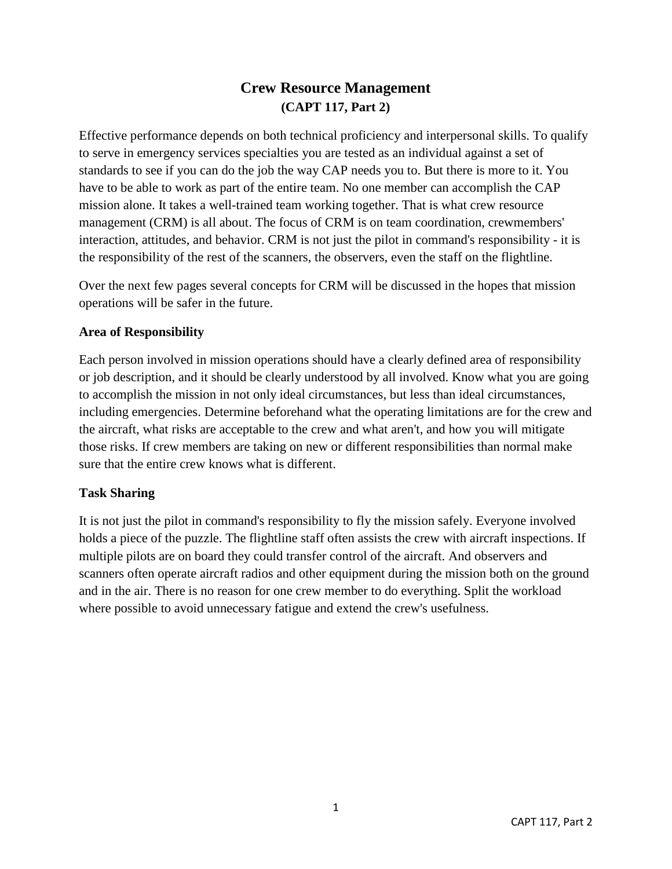# **Crew Resource Management (CAPT 117, Part 2)**

Effective performance depends on both technical proficiency and interpersonal skills. To qualify to serve in emergency services specialties you are tested as an individual against a set of standards to see if you can do the job the way CAP needs you to. But there is more to it. You have to be able to work as part of the entire team. No one member can accomplish the CAP mission alone. It takes a well-trained team working together. That is what crew resource management (CRM) is all about. The focus of CRM is on team coordination, crewmembers' interaction, attitudes, and behavior. CRM is not just the pilot in command's responsibility - it is the responsibility of the rest of the scanners, the observers, even the staff on the flightline.

Over the next few pages several concepts for CRM will be discussed in the hopes that mission operations will be safer in the future.

### **Area of Responsibility**

Each person involved in mission operations should have a clearly defined area of responsibility or job description, and it should be clearly understood by all involved. Know what you are going to accomplish the mission in not only ideal circumstances, but less than ideal circumstances, including emergencies. Determine beforehand what the operating limitations are for the crew and the aircraft, what risks are acceptable to the crew and what aren't, and how you will mitigate those risks. If crew members are taking on new or different responsibilities than normal make sure that the entire crew knows what is different.

### **Task Sharing**

It is not just the pilot in command's responsibility to fly the mission safely. Everyone involved holds a piece of the puzzle. The flightline staff often assists the crew with aircraft inspections. If multiple pilots are on board they could transfer control of the aircraft. And observers and scanners often operate aircraft radios and other equipment during the mission both on the ground and in the air. There is no reason for one crew member to do everything. Split the workload where possible to avoid unnecessary fatigue and extend the crew's usefulness.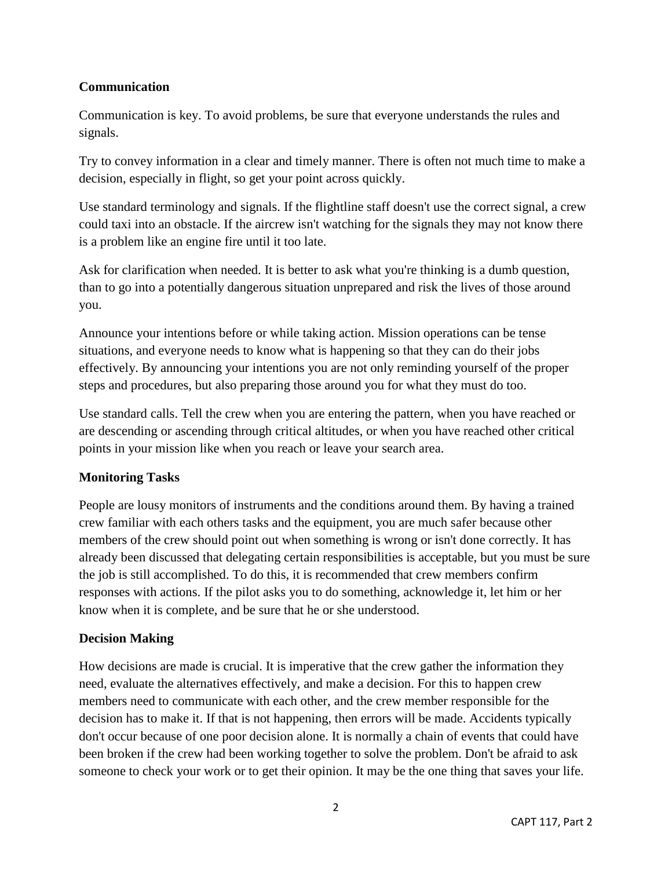### **Communication**

Communication is key. To avoid problems, be sure that everyone understands the rules and signals.

Try to convey information in a clear and timely manner. There is often not much time to make a decision, especially in flight, so get your point across quickly.

Use standard terminology and signals. If the flightline staff doesn't use the correct signal, a crew could taxi into an obstacle. If the aircrew isn't watching for the signals they may not know there is a problem like an engine fire until it too late.

Ask for clarification when needed. It is better to ask what you're thinking is a dumb question, than to go into a potentially dangerous situation unprepared and risk the lives of those around you.

Announce your intentions before or while taking action. Mission operations can be tense situations, and everyone needs to know what is happening so that they can do their jobs effectively. By announcing your intentions you are not only reminding yourself of the proper steps and procedures, but also preparing those around you for what they must do too.

Use standard calls. Tell the crew when you are entering the pattern, when you have reached or are descending or ascending through critical altitudes, or when you have reached other critical points in your mission like when you reach or leave your search area.

## **Monitoring Tasks**

People are lousy monitors of instruments and the conditions around them. By having a trained crew familiar with each others tasks and the equipment, you are much safer because other members of the crew should point out when something is wrong or isn't done correctly. It has already been discussed that delegating certain responsibilities is acceptable, but you must be sure the job is still accomplished. To do this, it is recommended that crew members confirm responses with actions. If the pilot asks you to do something, acknowledge it, let him or her know when it is complete, and be sure that he or she understood.

### **Decision Making**

How decisions are made is crucial. It is imperative that the crew gather the information they need, evaluate the alternatives effectively, and make a decision. For this to happen crew members need to communicate with each other, and the crew member responsible for the decision has to make it. If that is not happening, then errors will be made. Accidents typically don't occur because of one poor decision alone. It is normally a chain of events that could have been broken if the crew had been working together to solve the problem. Don't be afraid to ask someone to check your work or to get their opinion. It may be the one thing that saves your life.